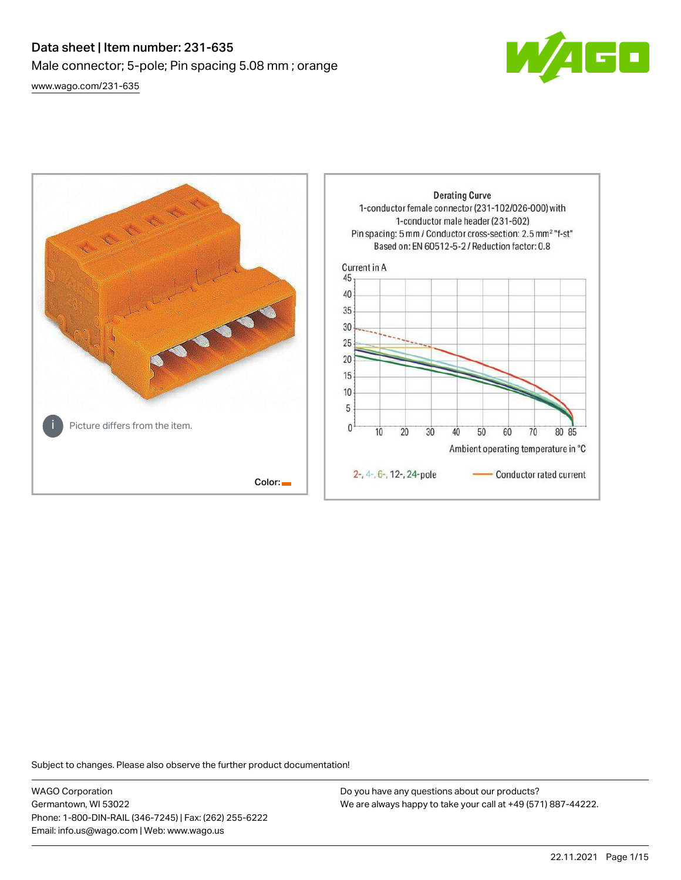# Data sheet | Item number: 231-635 Male connector; 5-pole; Pin spacing 5.08 mm ; orange [www.wago.com/231-635](http://www.wago.com/231-635)





Subject to changes. Please also observe the further product documentation!

WAGO Corporation Germantown, WI 53022 Phone: 1-800-DIN-RAIL (346-7245) | Fax: (262) 255-6222 Email: info.us@wago.com | Web: www.wago.us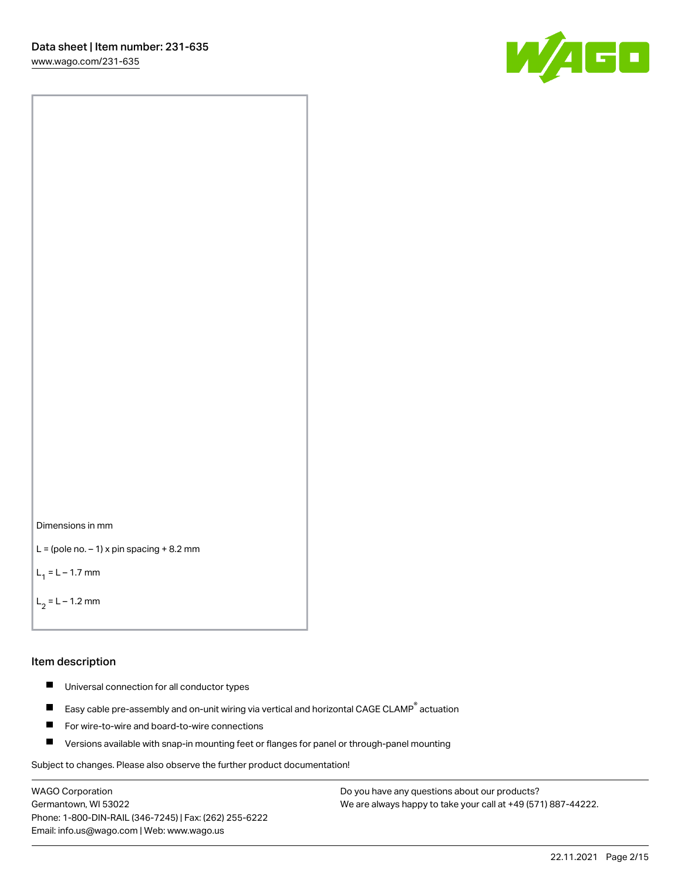[www.wago.com/231-635](http://www.wago.com/231-635)





```
L = (pole no. -1) x pin spacing +8.2 mm
```
 $L_1 = L - 1.7$  mm

```
L_2 = L - 1.2 mm
```
### Item description

- $\blacksquare$ Universal connection for all conductor types
- Easy cable pre-assembly and on-unit wiring via vertical and horizontal CAGE CLAMP<sup>®</sup> actuation  $\blacksquare$
- П For wire-to-wire and board-to-wire connections
- $\blacksquare$ Versions available with snap-in mounting feet or flanges for panel or through-panel mounting

Subject to changes. Please also observe the further product documentation!

WAGO Corporation Germantown, WI 53022 Phone: 1-800-DIN-RAIL (346-7245) | Fax: (262) 255-6222 Email: info.us@wago.com | Web: www.wago.us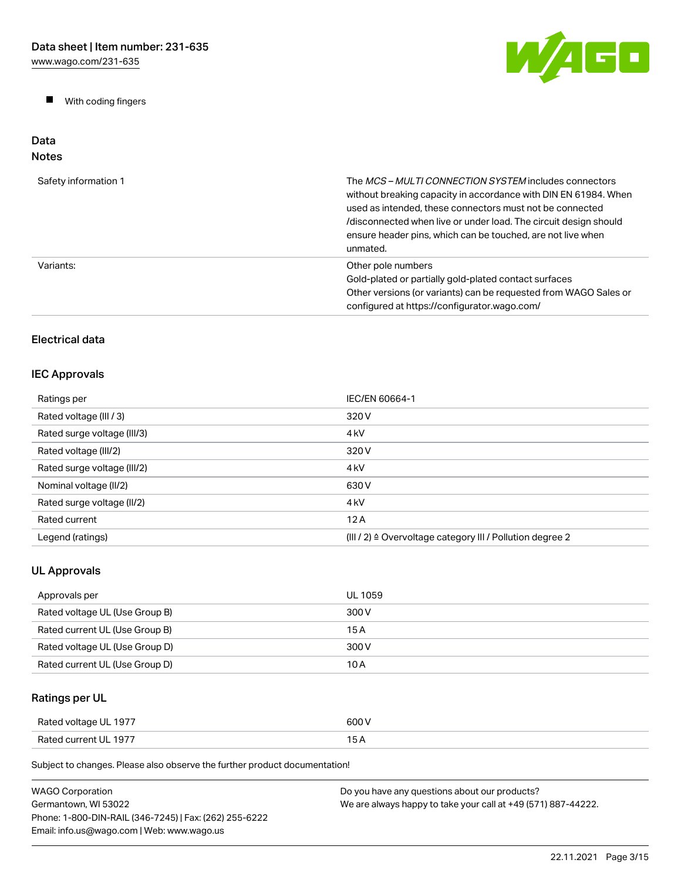$\blacksquare$ With coding fingers



### Data Notes

| Safety information 1 | The MCS-MULTI CONNECTION SYSTEM includes connectors<br>without breaking capacity in accordance with DIN EN 61984. When<br>used as intended, these connectors must not be connected<br>/disconnected when live or under load. The circuit design should<br>ensure header pins, which can be touched, are not live when<br>unmated. |
|----------------------|-----------------------------------------------------------------------------------------------------------------------------------------------------------------------------------------------------------------------------------------------------------------------------------------------------------------------------------|
| Variants:            | Other pole numbers<br>Gold-plated or partially gold-plated contact surfaces<br>Other versions (or variants) can be requested from WAGO Sales or<br>configured at https://configurator.wago.com/                                                                                                                                   |

# Electrical data

## IEC Approvals

| Ratings per                 | IEC/EN 60664-1                                                       |
|-----------------------------|----------------------------------------------------------------------|
| Rated voltage (III / 3)     | 320 V                                                                |
| Rated surge voltage (III/3) | 4 <sub>kV</sub>                                                      |
| Rated voltage (III/2)       | 320 V                                                                |
| Rated surge voltage (III/2) | 4 <sub>k</sub> V                                                     |
| Nominal voltage (II/2)      | 630 V                                                                |
| Rated surge voltage (II/2)  | 4 <sub>k</sub> V                                                     |
| Rated current               | 12A                                                                  |
| Legend (ratings)            | (III / 2) $\triangleq$ Overvoltage category III / Pollution degree 2 |

# UL Approvals

| Approvals per                  | UL 1059 |
|--------------------------------|---------|
| Rated voltage UL (Use Group B) | 300 V   |
| Rated current UL (Use Group B) | 15 A    |
| Rated voltage UL (Use Group D) | 300 V   |
| Rated current UL (Use Group D) | 10 A    |

# Ratings per UL

| Rated voltage UL 1977 | 600 V |
|-----------------------|-------|
| Rated current UL 1977 | . .   |

| <b>WAGO Corporation</b>                                | Do you have any questions about our products?                 |
|--------------------------------------------------------|---------------------------------------------------------------|
| Germantown. WI 53022                                   | We are always happy to take your call at +49 (571) 887-44222. |
| Phone: 1-800-DIN-RAIL (346-7245)   Fax: (262) 255-6222 |                                                               |
| Email: info.us@wago.com   Web: www.wago.us             |                                                               |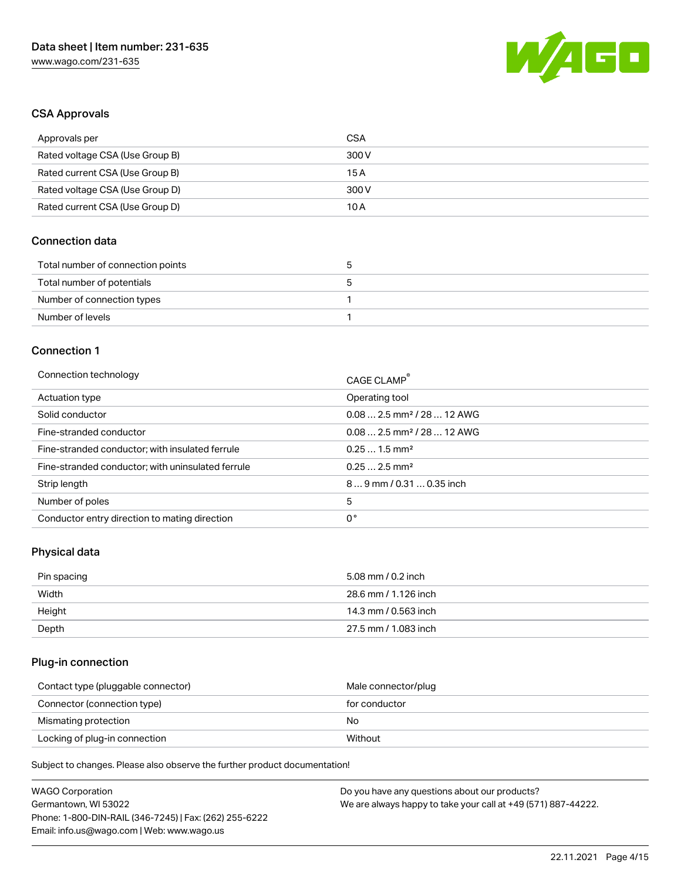

## CSA Approvals

| Approvals per                   | CSA   |
|---------------------------------|-------|
| Rated voltage CSA (Use Group B) | 300 V |
| Rated current CSA (Use Group B) | 15 A  |
| Rated voltage CSA (Use Group D) | 300 V |
| Rated current CSA (Use Group D) | 10 A  |

## Connection data

| Total number of connection points |  |
|-----------------------------------|--|
| Total number of potentials        |  |
| Number of connection types        |  |
| Number of levels                  |  |

### Connection 1

| Connection technology                             | CAGE CLAMP®                            |
|---------------------------------------------------|----------------------------------------|
| Actuation type                                    | Operating tool                         |
| Solid conductor                                   | $0.082.5$ mm <sup>2</sup> / 28  12 AWG |
| Fine-stranded conductor                           | $0.082.5$ mm <sup>2</sup> / 28  12 AWG |
| Fine-stranded conductor; with insulated ferrule   | $0.251.5$ mm <sup>2</sup>              |
| Fine-stranded conductor; with uninsulated ferrule | $0.252.5$ mm <sup>2</sup>              |
| Strip length                                      | $89$ mm / 0.31  0.35 inch              |
| Number of poles                                   | 5                                      |
| Conductor entry direction to mating direction     | 0°                                     |

# Physical data

| Pin spacing | 5.08 mm / 0.2 inch   |
|-------------|----------------------|
| Width       | 28.6 mm / 1.126 inch |
| Height      | 14.3 mm / 0.563 inch |
| Depth       | 27.5 mm / 1.083 inch |

## Plug-in connection

| Contact type (pluggable connector) | Male connector/plug |
|------------------------------------|---------------------|
| Connector (connection type)        | for conductor       |
| Mismating protection               | No                  |
| Locking of plug-in connection      | Without             |

| <b>WAGO Corporation</b>                                | Do you have any questions about our products?                 |
|--------------------------------------------------------|---------------------------------------------------------------|
| Germantown, WI 53022                                   | We are always happy to take your call at +49 (571) 887-44222. |
| Phone: 1-800-DIN-RAIL (346-7245)   Fax: (262) 255-6222 |                                                               |
| Email: info.us@wago.com   Web: www.wago.us             |                                                               |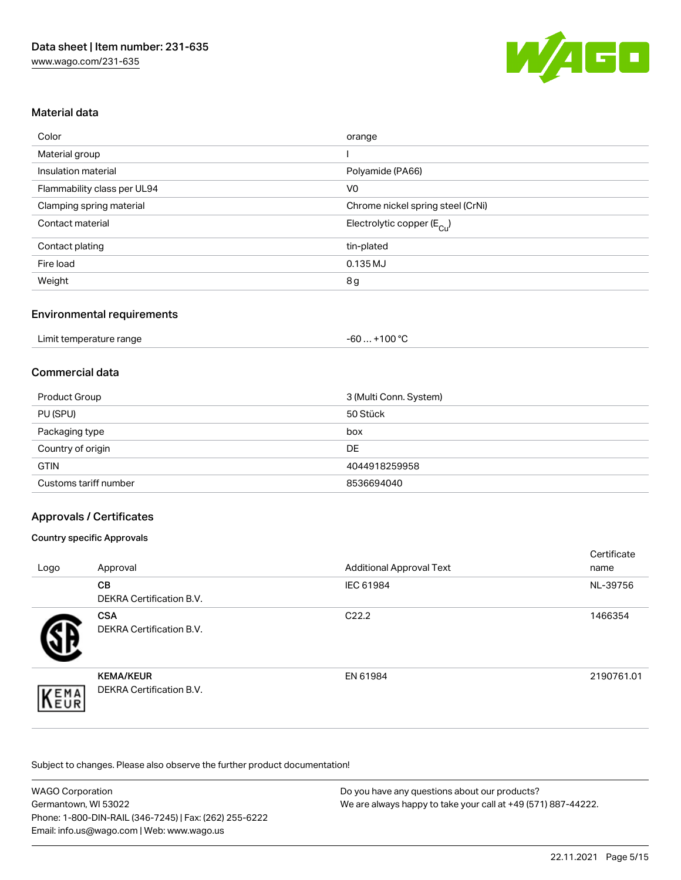

## Material data

| Color                       | orange                                |
|-----------------------------|---------------------------------------|
| Material group              |                                       |
| Insulation material         | Polyamide (PA66)                      |
| Flammability class per UL94 | V <sub>0</sub>                        |
| Clamping spring material    | Chrome nickel spring steel (CrNi)     |
| Contact material            | Electrolytic copper $(E_{\text{Cl}})$ |
| Contact plating             | tin-plated                            |
| Fire load                   | 0.135 MJ                              |
| Weight                      | 8g                                    |

## Environmental requirements

| Limit temperature range | $.$ +100 °C .<br>-60 |  |
|-------------------------|----------------------|--|
|-------------------------|----------------------|--|

## Commercial data

| <b>Product Group</b>  | 3 (Multi Conn. System) |
|-----------------------|------------------------|
| PU (SPU)              | 50 Stück               |
| Packaging type        | box                    |
| Country of origin     | <b>DE</b>              |
| <b>GTIN</b>           | 4044918259958          |
| Customs tariff number | 8536694040             |

## Approvals / Certificates

### Country specific Approvals

| Logo | Approval                                            | <b>Additional Approval Text</b> | Certificate<br>name |
|------|-----------------------------------------------------|---------------------------------|---------------------|
|      | <b>CB</b><br><b>DEKRA Certification B.V.</b>        | IEC 61984                       | NL-39756            |
|      | <b>CSA</b><br>DEKRA Certification B.V.              | C <sub>22.2</sub>               | 1466354             |
| EMA  | <b>KEMA/KEUR</b><br><b>DEKRA Certification B.V.</b> | EN 61984                        | 2190761.01          |

| <b>WAGO Corporation</b>                                | Do you have any questions about our products?                 |
|--------------------------------------------------------|---------------------------------------------------------------|
| Germantown, WI 53022                                   | We are always happy to take your call at +49 (571) 887-44222. |
| Phone: 1-800-DIN-RAIL (346-7245)   Fax: (262) 255-6222 |                                                               |
| Email: info.us@wago.com   Web: www.wago.us             |                                                               |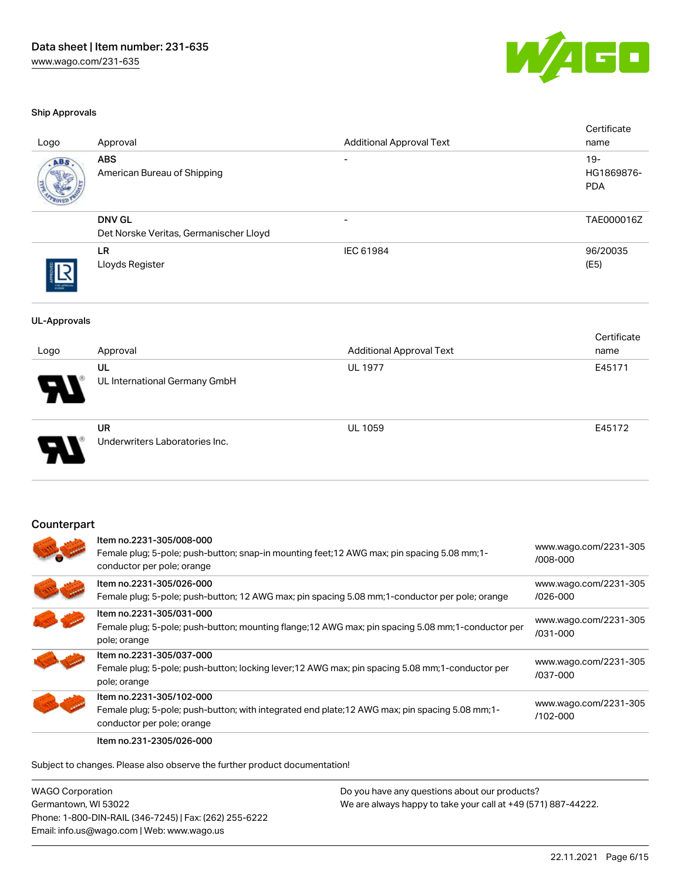

Cortificato

### Ship Approvals

| Logo                | Approval                                                                                                          | <b>Additional Approval Text</b> | verunvale<br>name     |
|---------------------|-------------------------------------------------------------------------------------------------------------------|---------------------------------|-----------------------|
|                     |                                                                                                                   |                                 |                       |
| ABS                 | <b>ABS</b>                                                                                                        |                                 | $19 -$<br>HG1869876-  |
|                     | American Bureau of Shipping                                                                                       |                                 | <b>PDA</b>            |
|                     |                                                                                                                   |                                 |                       |
|                     | <b>DNV GL</b>                                                                                                     |                                 | TAE000016Z            |
|                     | Det Norske Veritas, Germanischer Lloyd                                                                            |                                 |                       |
|                     | LR                                                                                                                | IEC 61984                       | 96/20035              |
|                     | Lloyds Register                                                                                                   |                                 | (E5)                  |
|                     |                                                                                                                   |                                 |                       |
| <b>UL-Approvals</b> |                                                                                                                   |                                 |                       |
|                     |                                                                                                                   |                                 | Certificate           |
| Logo                | Approval                                                                                                          | <b>Additional Approval Text</b> | name                  |
|                     | UL                                                                                                                | <b>UL 1977</b>                  | E45171                |
|                     | UL International Germany GmbH                                                                                     |                                 |                       |
|                     |                                                                                                                   |                                 |                       |
|                     |                                                                                                                   |                                 |                       |
|                     | <b>UR</b><br>Underwriters Laboratories Inc.                                                                       | <b>UL 1059</b>                  | E45172                |
|                     |                                                                                                                   |                                 |                       |
|                     |                                                                                                                   |                                 |                       |
|                     |                                                                                                                   |                                 |                       |
|                     |                                                                                                                   |                                 |                       |
| Counterpart         |                                                                                                                   |                                 |                       |
|                     | Item no.2231-305/008-000                                                                                          |                                 | www.wago.com/2231-305 |
|                     | Female plug; 5-pole; push-button; snap-in mounting feet; 12 AWG max; pin spacing 5.08 mm; 1-                      |                                 | /008-000              |
|                     | conductor per pole; orange                                                                                        |                                 |                       |
|                     | Item no.2231-305/026-000                                                                                          |                                 | www.wago.com/2231-305 |
|                     | Female plug; 5-pole; push-button; 12 AWG max; pin spacing 5.08 mm; 1-conductor per pole; orange                   |                                 | /026-000              |
|                     | Item no.2231-305/031-000                                                                                          |                                 | www.wago.com/2231-305 |
|                     | Female plug; 5-pole; push-button; mounting flange; 12 AWG max; pin spacing 5.08 mm; 1-conductor per               |                                 | /031-000              |
|                     | pole; orange                                                                                                      |                                 |                       |
|                     | Item no.2231-305/037-000                                                                                          |                                 | www.wago.com/2231-305 |
|                     | Female plug; 5-pole; push-button; locking lever; 12 AWG max; pin spacing 5.08 mm; 1-conductor per<br>pole; orange |                                 | /037-000              |
|                     | Item no.2231-305/102-000                                                                                          |                                 |                       |
|                     | Female plug; 5-pole; push-button; with integrated end plate; 12 AWG max; pin spacing 5.08 mm; 1-                  |                                 | www.wago.com/2231-305 |
|                     |                                                                                                                   |                                 | /102-000              |

Subject to changes. Please also observe the further product documentation!

WAGO Corporation Germantown, WI 53022 Phone: 1-800-DIN-RAIL (346-7245) | Fax: (262) 255-6222 Email: info.us@wago.com | Web: www.wago.us

conductor per pole; orange

Item no.231-2305/026-000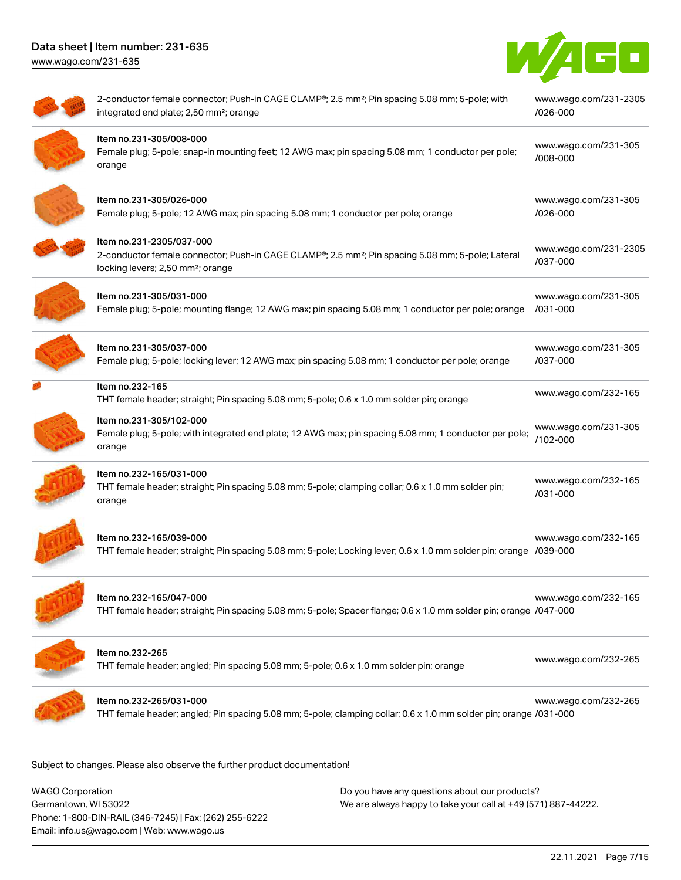[www.wago.com/231-635](http://www.wago.com/231-635)



| 2-conductor female connector; Push-in CAGE CLAMP®; 2.5 mm <sup>2</sup> ; Pin spacing 5.08 mm; 5-pole; with<br>integrated end plate; 2,50 mm <sup>2</sup> ; orange                          | www.wago.com/231-2305<br>/026-000 |
|--------------------------------------------------------------------------------------------------------------------------------------------------------------------------------------------|-----------------------------------|
| Item no.231-305/008-000<br>Female plug; 5-pole; snap-in mounting feet; 12 AWG max; pin spacing 5.08 mm; 1 conductor per pole;<br>orange                                                    | www.wago.com/231-305<br>/008-000  |
| Item no.231-305/026-000<br>Female plug; 5-pole; 12 AWG max; pin spacing 5.08 mm; 1 conductor per pole; orange                                                                              | www.wago.com/231-305<br>/026-000  |
| Item no.231-2305/037-000<br>2-conductor female connector; Push-in CAGE CLAMP®; 2.5 mm <sup>2</sup> ; Pin spacing 5.08 mm; 5-pole; Lateral<br>locking levers; 2,50 mm <sup>2</sup> ; orange | www.wago.com/231-2305<br>/037-000 |
| Item no.231-305/031-000<br>Female plug; 5-pole; mounting flange; 12 AWG max; pin spacing 5.08 mm; 1 conductor per pole; orange                                                             | www.wago.com/231-305<br>/031-000  |
| Item no.231-305/037-000<br>Female plug; 5-pole; locking lever; 12 AWG max; pin spacing 5.08 mm; 1 conductor per pole; orange                                                               | www.wago.com/231-305<br>/037-000  |
| Item no.232-165<br>THT female header; straight; Pin spacing 5.08 mm; 5-pole; 0.6 x 1.0 mm solder pin; orange                                                                               | www.wago.com/232-165              |
| Item no.231-305/102-000<br>Female plug; 5-pole; with integrated end plate; 12 AWG max; pin spacing 5.08 mm; 1 conductor per pole;<br>orange                                                | www.wago.com/231-305<br>/102-000  |
| Item no.232-165/031-000<br>THT female header; straight; Pin spacing 5.08 mm; 5-pole; clamping collar; 0.6 x 1.0 mm solder pin;<br>orange                                                   | www.wago.com/232-165<br>/031-000  |
| Item no.232-165/039-000<br>THT female header; straight; Pin spacing 5.08 mm; 5-pole; Locking lever; 0.6 x 1.0 mm solder pin; orange /039-000                                               | www.wago.com/232-165              |
| Item no.232-165/047-000<br>THT female header; straight; Pin spacing 5.08 mm; 5-pole; Spacer flange; 0.6 x 1.0 mm solder pin; orange /047-000                                               | www.wago.com/232-165              |
| Item no.232-265<br>THT female header; angled; Pin spacing 5.08 mm; 5-pole; 0.6 x 1.0 mm solder pin; orange                                                                                 | www.wago.com/232-265              |
| Item no.232-265/031-000<br>THT female header; angled; Pin spacing 5.08 mm; 5-pole; clamping collar; 0.6 x 1.0 mm solder pin; orange /031-000                                               | www.wago.com/232-265              |

Subject to changes. Please also observe the further product documentation!

WAGO Corporation Germantown, WI 53022 Phone: 1-800-DIN-RAIL (346-7245) | Fax: (262) 255-6222 Email: info.us@wago.com | Web: www.wago.us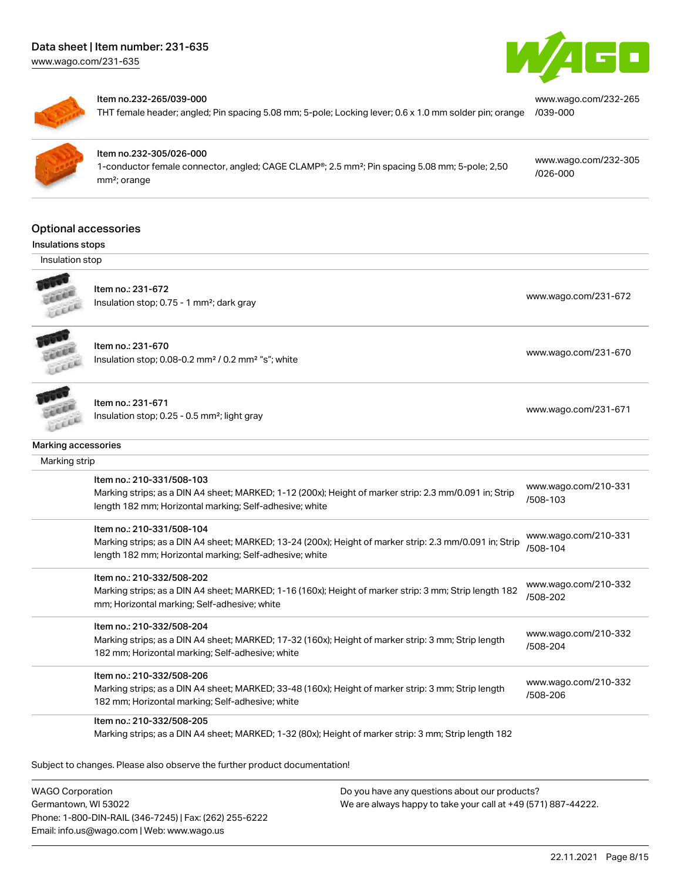[www.wago.com/231-635](http://www.wago.com/231-635)





#### Item no.232-265/039-000

THT female header; angled; Pin spacing 5.08 mm; 5-pole; Locking lever; 0.6 x 1.0 mm solder pin; orange [/039-000](https://www.wago.com/232-265/039-000)



### Item no.232-305/026-000

1-conductor female connector, angled; CAGE CLAMP®; 2.5 mm²; Pin spacing 5.08 mm; 5-pole; 2,50 mm²; orange

[www.wago.com/232-305](https://www.wago.com/232-305/026-000) [/026-000](https://www.wago.com/232-305/026-000)

[www.wago.com/232-265](https://www.wago.com/232-265/039-000)

### Optional accessories

## Insulations stops

Insulation stop



Item no.: 231-672 Insulation stop; 0.75 - 1 mm<sup>2</sup>; dark gray [www.wago.com/231-672](http://www.wago.com/231-672) www.wago.com/231-672



Item no.: 231-670

Insulation stop; 0.08-0.2 mm<sup>2</sup>/0.2 mm<sup>2</sup> "s"; white [www.wago.com/231-670](http://www.wago.com/231-670) www.wago.com/231-670



### Item no.: 231-671 Insulation stop; 0.25 - 0.5 mm²; light gray [www.wago.com/231-671](http://www.wago.com/231-671) www.wago.com/231-671

| Marking accessories |  |
|---------------------|--|
|                     |  |

| Marking strip |                                                                                                                                                                                                |                                  |
|---------------|------------------------------------------------------------------------------------------------------------------------------------------------------------------------------------------------|----------------------------------|
|               | Item no.: 210-331/508-103<br>Marking strips; as a DIN A4 sheet; MARKED; 1-12 (200x); Height of marker strip: 2.3 mm/0.091 in; Strip<br>length 182 mm; Horizontal marking; Self-adhesive; white | www.wago.com/210-331<br>/508-103 |
|               | Item no.: 210-331/508-104                                                                                                                                                                      | www.wago.com/210-331             |
|               | Marking strips; as a DIN A4 sheet; MARKED; 13-24 (200x); Height of marker strip: 2.3 mm/0.091 in; Strip<br>length 182 mm; Horizontal marking; Self-adhesive; white                             | /508-104                         |
|               | Item no.: 210-332/508-202                                                                                                                                                                      | www.wago.com/210-332             |
|               | Marking strips; as a DIN A4 sheet; MARKED; 1-16 (160x); Height of marker strip: 3 mm; Strip length 182<br>mm; Horizontal marking; Self-adhesive; white                                         | /508-202                         |
|               | Item no.: 210-332/508-204                                                                                                                                                                      |                                  |
|               | Marking strips; as a DIN A4 sheet; MARKED; 17-32 (160x); Height of marker strip: 3 mm; Strip length                                                                                            | www.wago.com/210-332<br>/508-204 |
|               | 182 mm; Horizontal marking; Self-adhesive; white                                                                                                                                               |                                  |
|               | Item no.: 210-332/508-206                                                                                                                                                                      |                                  |
|               | Marking strips; as a DIN A4 sheet; MARKED; 33-48 (160x); Height of marker strip: 3 mm; Strip length                                                                                            | www.wago.com/210-332<br>/508-206 |
|               | 182 mm; Horizontal marking; Self-adhesive; white                                                                                                                                               |                                  |
|               | Item no.: 210-332/508-205                                                                                                                                                                      |                                  |
|               | Marking strips; as a DIN A4 sheet; MARKED; 1-32 (80x); Height of marker strip: 3 mm; Strip length 182                                                                                          |                                  |

Subject to changes. Please also observe the further product documentation!

WAGO Corporation Germantown, WI 53022 Phone: 1-800-DIN-RAIL (346-7245) | Fax: (262) 255-6222 Email: info.us@wago.com | Web: www.wago.us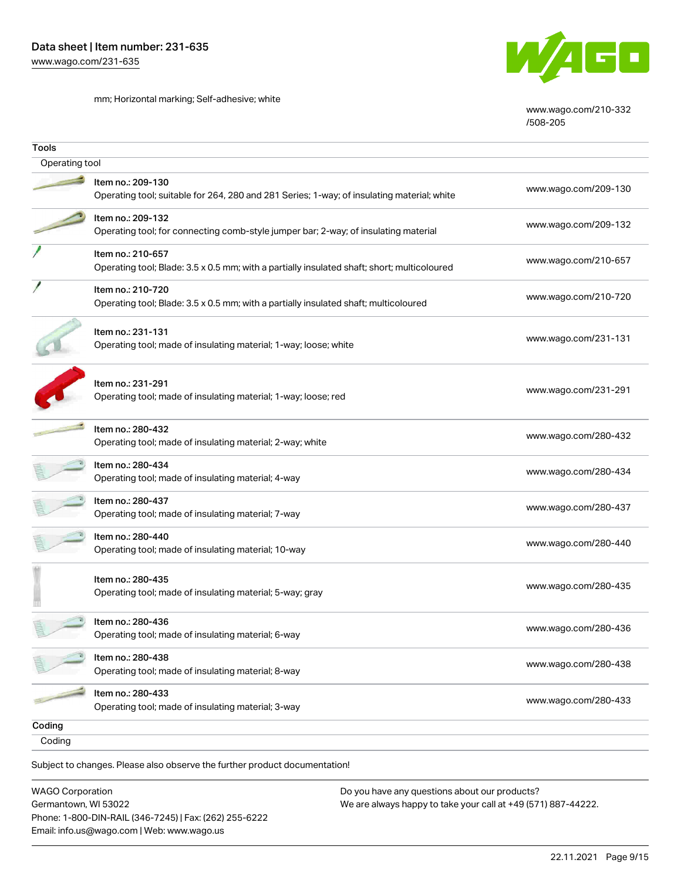mm; Horizontal marking; Self-adhesive; white



[www.wago.com/210-332](http://www.wago.com/210-332/508-205) [/508-205](http://www.wago.com/210-332/508-205)

| Tools          |                                                                                                                  |                      |
|----------------|------------------------------------------------------------------------------------------------------------------|----------------------|
| Operating tool |                                                                                                                  |                      |
|                | Item no.: 209-130<br>Operating tool; suitable for 264, 280 and 281 Series; 1-way; of insulating material; white  | www.wago.com/209-130 |
|                | Item no.: 209-132<br>Operating tool; for connecting comb-style jumper bar; 2-way; of insulating material         | www.wago.com/209-132 |
|                | Item no.: 210-657<br>Operating tool; Blade: 3.5 x 0.5 mm; with a partially insulated shaft; short; multicoloured | www.wago.com/210-657 |
|                | Item no.: 210-720<br>Operating tool; Blade: 3.5 x 0.5 mm; with a partially insulated shaft; multicoloured        | www.wago.com/210-720 |
|                | Item no.: 231-131<br>Operating tool; made of insulating material; 1-way; loose; white                            | www.wago.com/231-131 |
|                | Item no.: 231-291<br>Operating tool; made of insulating material; 1-way; loose; red                              | www.wago.com/231-291 |
|                | Item no.: 280-432<br>Operating tool; made of insulating material; 2-way; white                                   | www.wago.com/280-432 |
|                | Item no.: 280-434<br>Operating tool; made of insulating material; 4-way                                          | www.wago.com/280-434 |
|                | Item no.: 280-437<br>Operating tool; made of insulating material; 7-way                                          | www.wago.com/280-437 |
|                | Item no.: 280-440<br>Operating tool; made of insulating material; 10-way                                         | www.wago.com/280-440 |
|                | ltem no.: 280-435<br>Operating tool; made of insulating material; 5-way; gray                                    | www.wago.com/280-435 |
|                | Item no.: 280-436<br>Operating tool; made of insulating material; 6-way                                          | www.wago.com/280-436 |
|                | Item no.: 280-438<br>Operating tool; made of insulating material; 8-way                                          | www.wago.com/280-438 |
|                | Item no.: 280-433<br>Operating tool; made of insulating material; 3-way                                          | www.wago.com/280-433 |
| Coding         |                                                                                                                  |                      |
| Coding         |                                                                                                                  |                      |
|                | Subject to changes. Please also observe the further product documentation!                                       |                      |

WAGO Corporation Germantown, WI 53022 Phone: 1-800-DIN-RAIL (346-7245) | Fax: (262) 255-6222 Email: info.us@wago.com | Web: www.wago.us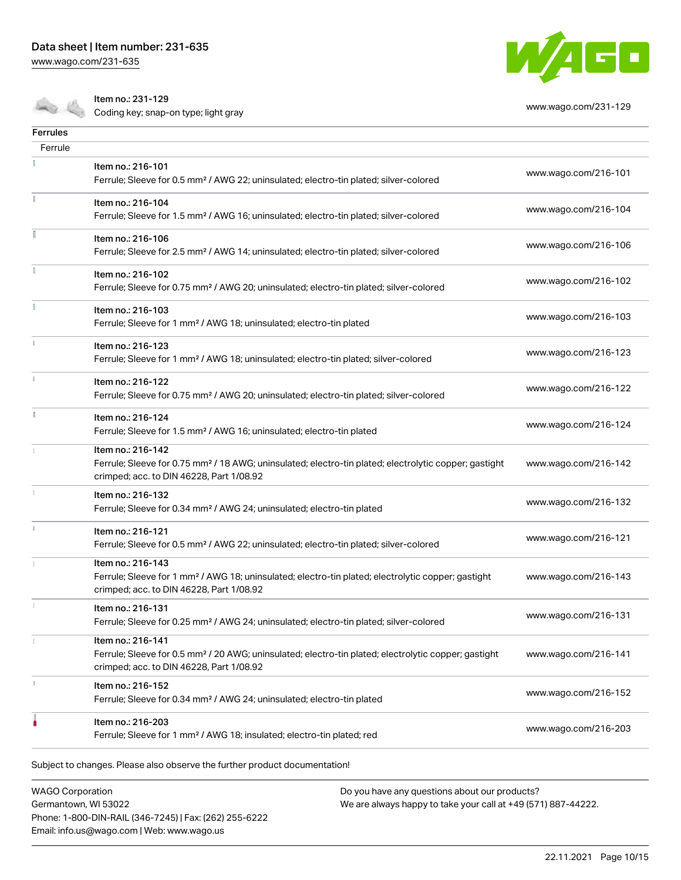[www.wago.com/231-635](http://www.wago.com/231-635)



Coding key; snap-on type; light gray [www.wago.com/231-129](http://www.wago.com/231-129)



| Ferrules |                                                                                                                                                                                    |                      |
|----------|------------------------------------------------------------------------------------------------------------------------------------------------------------------------------------|----------------------|
| Ferrule  |                                                                                                                                                                                    |                      |
|          | Item no.: 216-101<br>Ferrule; Sleeve for 0.5 mm <sup>2</sup> / AWG 22; uninsulated; electro-tin plated; silver-colored                                                             | www.wago.com/216-101 |
|          | Item no.: 216-104<br>Ferrule; Sleeve for 1.5 mm <sup>2</sup> / AWG 16; uninsulated; electro-tin plated; silver-colored                                                             | www.wago.com/216-104 |
| I        | Item no.: 216-106<br>Ferrule; Sleeve for 2.5 mm <sup>2</sup> / AWG 14; uninsulated; electro-tin plated; silver-colored                                                             | www.wago.com/216-106 |
|          | Item no.: 216-102<br>Ferrule; Sleeve for 0.75 mm <sup>2</sup> / AWG 20; uninsulated; electro-tin plated; silver-colored                                                            | www.wago.com/216-102 |
|          | Item no.: 216-103<br>Ferrule; Sleeve for 1 mm <sup>2</sup> / AWG 18; uninsulated; electro-tin plated                                                                               | www.wago.com/216-103 |
|          | Item no.: 216-123<br>Ferrule; Sleeve for 1 mm <sup>2</sup> / AWG 18; uninsulated; electro-tin plated; silver-colored                                                               | www.wago.com/216-123 |
|          | Item no.: 216-122<br>Ferrule; Sleeve for 0.75 mm <sup>2</sup> / AWG 20; uninsulated; electro-tin plated; silver-colored                                                            | www.wago.com/216-122 |
| F.       | Item no.: 216-124<br>Ferrule; Sleeve for 1.5 mm <sup>2</sup> / AWG 16; uninsulated; electro-tin plated                                                                             | www.wago.com/216-124 |
|          | Item no.: 216-142<br>Ferrule; Sleeve for 0.75 mm <sup>2</sup> / 18 AWG; uninsulated; electro-tin plated; electrolytic copper; gastight<br>crimped; acc. to DIN 46228, Part 1/08.92 | www.wago.com/216-142 |
|          | Item no.: 216-132<br>Ferrule; Sleeve for 0.34 mm <sup>2</sup> / AWG 24; uninsulated; electro-tin plated                                                                            | www.wago.com/216-132 |
| ī.       | Item no.: 216-121<br>Ferrule; Sleeve for 0.5 mm <sup>2</sup> / AWG 22; uninsulated; electro-tin plated; silver-colored                                                             | www.wago.com/216-121 |
|          | Item no.: 216-143<br>Ferrule; Sleeve for 1 mm <sup>2</sup> / AWG 18; uninsulated; electro-tin plated; electrolytic copper; gastight<br>crimped; acc. to DIN 46228, Part 1/08.92    | www.wago.com/216-143 |
|          | Item no.: 216-131<br>Ferrule; Sleeve for 0.25 mm <sup>2</sup> / AWG 24; uninsulated; electro-tin plated; silver-colored                                                            | www.wago.com/216-131 |
|          | Item no.: 216-141<br>Ferrule; Sleeve for 0.5 mm <sup>2</sup> / 20 AWG; uninsulated; electro-tin plated; electrolytic copper; gastight<br>crimped; acc. to DIN 46228, Part 1/08.92  | www.wago.com/216-141 |
|          | Item no.: 216-152<br>Ferrule; Sleeve for 0.34 mm <sup>2</sup> / AWG 24; uninsulated; electro-tin plated                                                                            | www.wago.com/216-152 |
|          | Item no.: 216-203<br>Ferrule; Sleeve for 1 mm <sup>2</sup> / AWG 18; insulated; electro-tin plated; red                                                                            | www.wago.com/216-203 |
|          |                                                                                                                                                                                    |                      |

Subject to changes. Please also observe the further product documentation!

WAGO Corporation Germantown, WI 53022 Phone: 1-800-DIN-RAIL (346-7245) | Fax: (262) 255-6222 Email: info.us@wago.com | Web: www.wago.us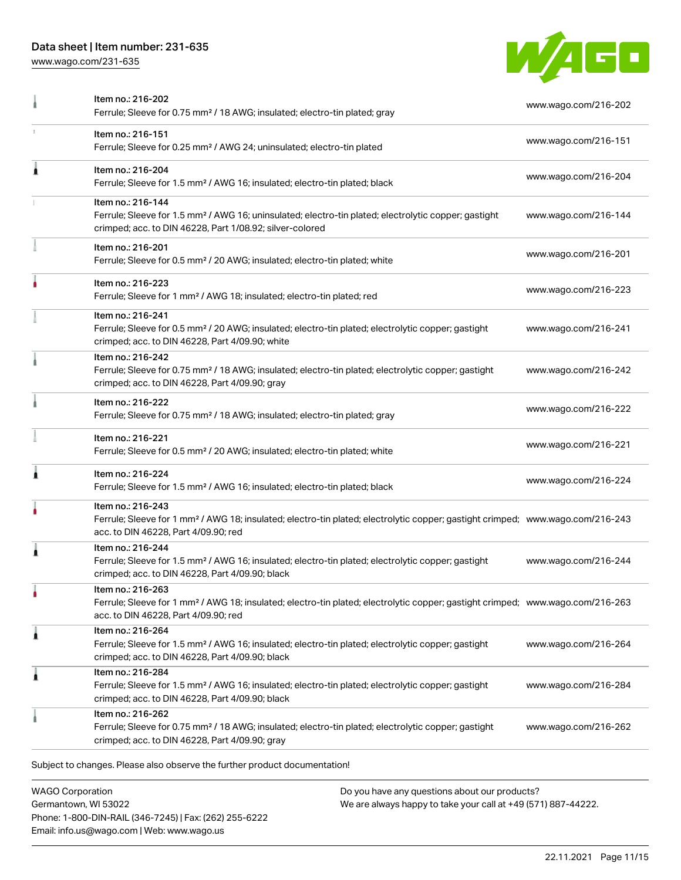[www.wago.com/231-635](http://www.wago.com/231-635)



|   | Item no.: 216-202<br>Ferrule; Sleeve for 0.75 mm <sup>2</sup> / 18 AWG; insulated; electro-tin plated; gray                                                                                             | www.wago.com/216-202 |
|---|---------------------------------------------------------------------------------------------------------------------------------------------------------------------------------------------------------|----------------------|
|   | Item no.: 216-151<br>Ferrule; Sleeve for 0.25 mm <sup>2</sup> / AWG 24; uninsulated; electro-tin plated                                                                                                 | www.wago.com/216-151 |
| ۸ | Item no.: 216-204<br>Ferrule; Sleeve for 1.5 mm <sup>2</sup> / AWG 16; insulated; electro-tin plated; black                                                                                             | www.wago.com/216-204 |
|   | Item no.: 216-144<br>Ferrule; Sleeve for 1.5 mm <sup>2</sup> / AWG 16; uninsulated; electro-tin plated; electrolytic copper; gastight<br>crimped; acc. to DIN 46228, Part 1/08.92; silver-colored       | www.wago.com/216-144 |
|   | Item no.: 216-201<br>Ferrule; Sleeve for 0.5 mm <sup>2</sup> / 20 AWG; insulated; electro-tin plated; white                                                                                             | www.wago.com/216-201 |
|   | Item no.: 216-223<br>Ferrule; Sleeve for 1 mm <sup>2</sup> / AWG 18; insulated; electro-tin plated; red                                                                                                 | www.wago.com/216-223 |
|   | Item no.: 216-241<br>Ferrule; Sleeve for 0.5 mm <sup>2</sup> / 20 AWG; insulated; electro-tin plated; electrolytic copper; gastight<br>crimped; acc. to DIN 46228, Part 4/09.90; white                  | www.wago.com/216-241 |
|   | Item no.: 216-242<br>Ferrule; Sleeve for 0.75 mm <sup>2</sup> / 18 AWG; insulated; electro-tin plated; electrolytic copper; gastight<br>crimped; acc. to DIN 46228, Part 4/09.90; gray                  | www.wago.com/216-242 |
|   | Item no.: 216-222<br>Ferrule; Sleeve for 0.75 mm <sup>2</sup> / 18 AWG; insulated; electro-tin plated; gray                                                                                             | www.wago.com/216-222 |
|   | Item no.: 216-221<br>Ferrule; Sleeve for 0.5 mm <sup>2</sup> / 20 AWG; insulated; electro-tin plated; white                                                                                             | www.wago.com/216-221 |
|   | Item no.: 216-224<br>Ferrule; Sleeve for 1.5 mm <sup>2</sup> / AWG 16; insulated; electro-tin plated; black                                                                                             | www.wago.com/216-224 |
|   | Item no.: 216-243<br>Ferrule; Sleeve for 1 mm <sup>2</sup> / AWG 18; insulated; electro-tin plated; electrolytic copper; gastight crimped; www.wago.com/216-243<br>acc. to DIN 46228, Part 4/09.90; red |                      |
| Â | Item no.: 216-244<br>Ferrule; Sleeve for 1.5 mm <sup>2</sup> / AWG 16; insulated; electro-tin plated; electrolytic copper; gastight<br>crimped; acc. to DIN 46228, Part 4/09.90; black                  | www.wago.com/216-244 |
|   | Item no.: 216-263<br>Ferrule; Sleeve for 1 mm <sup>2</sup> / AWG 18; insulated; electro-tin plated; electrolytic copper; gastight crimped; www.wago.com/216-263<br>acc. to DIN 46228, Part 4/09.90; red |                      |
| À | Item no.: 216-264<br>Ferrule; Sleeve for 1.5 mm <sup>2</sup> / AWG 16; insulated; electro-tin plated; electrolytic copper; gastight<br>crimped; acc. to DIN 46228, Part 4/09.90; black                  | www.wago.com/216-264 |
| 1 | Item no.: 216-284<br>Ferrule; Sleeve for 1.5 mm <sup>2</sup> / AWG 16; insulated; electro-tin plated; electrolytic copper; gastight<br>crimped; acc. to DIN 46228, Part 4/09.90; black                  | www.wago.com/216-284 |
|   | Item no.: 216-262<br>Ferrule; Sleeve for 0.75 mm <sup>2</sup> / 18 AWG; insulated; electro-tin plated; electrolytic copper; gastight<br>crimped; acc. to DIN 46228, Part 4/09.90; gray                  | www.wago.com/216-262 |
|   | Subject to changes. Please also observe the further product documentation!                                                                                                                              |                      |

WAGO Corporation Germantown, WI 53022 Phone: 1-800-DIN-RAIL (346-7245) | Fax: (262) 255-6222 Email: info.us@wago.com | Web: www.wago.us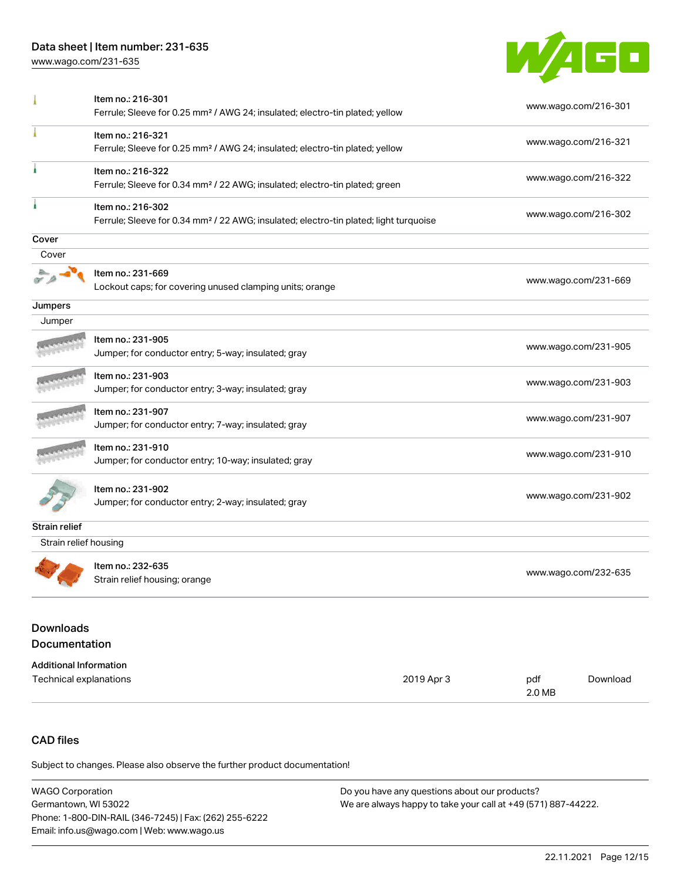[www.wago.com/231-635](http://www.wago.com/231-635)



|                                          | Item no.: 216-301<br>Ferrule; Sleeve for 0.25 mm <sup>2</sup> / AWG 24; insulated; electro-tin plated; yellow          | www.wago.com/216-301 |
|------------------------------------------|------------------------------------------------------------------------------------------------------------------------|----------------------|
|                                          | Item no.: 216-321<br>Ferrule; Sleeve for 0.25 mm <sup>2</sup> / AWG 24; insulated; electro-tin plated; yellow          | www.wago.com/216-321 |
| ł                                        | Item no.: 216-322<br>Ferrule; Sleeve for 0.34 mm <sup>2</sup> / 22 AWG; insulated; electro-tin plated; green           | www.wago.com/216-322 |
|                                          | Item no.: 216-302<br>Ferrule; Sleeve for 0.34 mm <sup>2</sup> / 22 AWG; insulated; electro-tin plated; light turquoise | www.wago.com/216-302 |
| Cover                                    |                                                                                                                        |                      |
| Cover                                    |                                                                                                                        |                      |
|                                          | Item no.: 231-669<br>Lockout caps; for covering unused clamping units; orange                                          | www.wago.com/231-669 |
| Jumpers                                  |                                                                                                                        |                      |
| Jumper                                   |                                                                                                                        |                      |
|                                          | Item no.: 231-905<br>Jumper; for conductor entry; 5-way; insulated; gray                                               | www.wago.com/231-905 |
|                                          | Item no.: 231-903<br>Jumper; for conductor entry; 3-way; insulated; gray                                               | www.wago.com/231-903 |
|                                          | Item no.: 231-907<br>Jumper; for conductor entry; 7-way; insulated; gray                                               | www.wago.com/231-907 |
|                                          | Item no.: 231-910<br>Jumper; for conductor entry; 10-way; insulated; gray                                              | www.wago.com/231-910 |
|                                          | Item no.: 231-902<br>Jumper; for conductor entry; 2-way; insulated; gray                                               | www.wago.com/231-902 |
| <b>Strain relief</b>                     |                                                                                                                        |                      |
| Strain relief housing                    |                                                                                                                        |                      |
|                                          | Item no.: 232-635<br>Strain relief housing; orange                                                                     | www.wago.com/232-635 |
| <b>Downloads</b><br><b>Documentation</b> |                                                                                                                        |                      |

| <b>Additional Information</b> |            |               |          |
|-------------------------------|------------|---------------|----------|
| Technical explanations        | 2019 Apr 3 | pdf<br>2.0 MB | Download |

# CAD files

| <b>WAGO Corporation</b>                                | Do you have any questions about our products?                 |
|--------------------------------------------------------|---------------------------------------------------------------|
| Germantown. WI 53022                                   | We are always happy to take your call at +49 (571) 887-44222. |
| Phone: 1-800-DIN-RAIL (346-7245)   Fax: (262) 255-6222 |                                                               |
| Email: info.us@wago.com   Web: www.wago.us             |                                                               |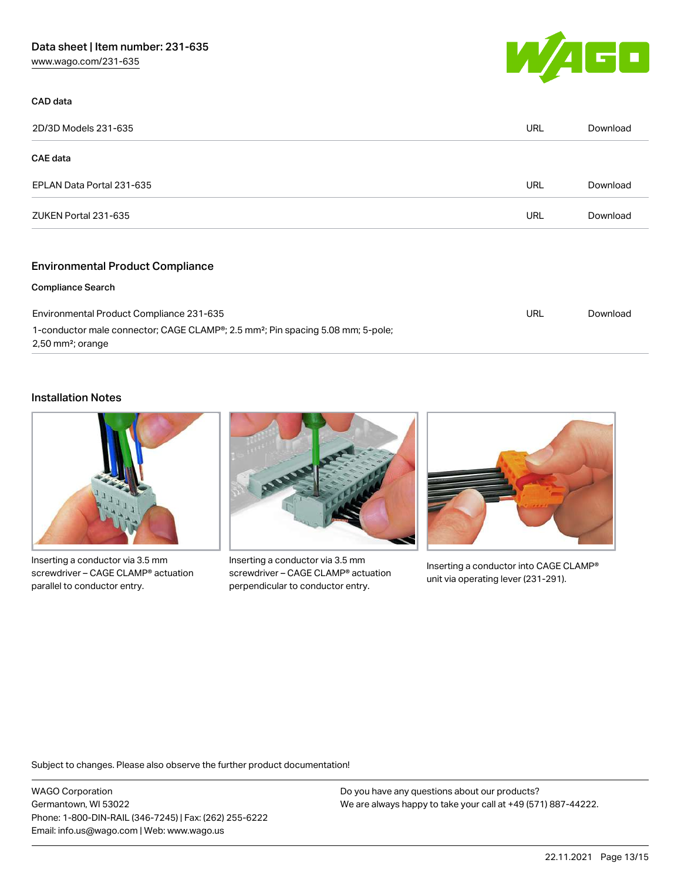[www.wago.com/231-635](http://www.wago.com/231-635)



### CAD data

| 2D/3D Models 231-635      | URL        | Download |
|---------------------------|------------|----------|
| CAE data                  |            |          |
| EPLAN Data Portal 231-635 | URL        | Download |
| ZUKEN Portal 231-635      | <b>URL</b> | Download |
|                           |            |          |

## Environmental Product Compliance

#### Compliance Search

| Environmental Product Compliance 231-635                                                                 | URL | Download |
|----------------------------------------------------------------------------------------------------------|-----|----------|
| 1-conductor male connector; CAGE CLAMP <sup>®</sup> ; 2.5 mm <sup>2</sup> ; Pin spacing 5.08 mm; 5-pole; |     |          |
| $2,50$ mm <sup>2</sup> ; orange                                                                          |     |          |

## Installation Notes



Inserting a conductor via 3.5 mm screwdriver – CAGE CLAMP® actuation parallel to conductor entry.



Inserting a conductor via 3.5 mm screwdriver – CAGE CLAMP® actuation perpendicular to conductor entry.



Inserting a conductor into CAGE CLAMP® unit via operating lever (231-291).

Subject to changes. Please also observe the further product documentation!

WAGO Corporation Germantown, WI 53022 Phone: 1-800-DIN-RAIL (346-7245) | Fax: (262) 255-6222 Email: info.us@wago.com | Web: www.wago.us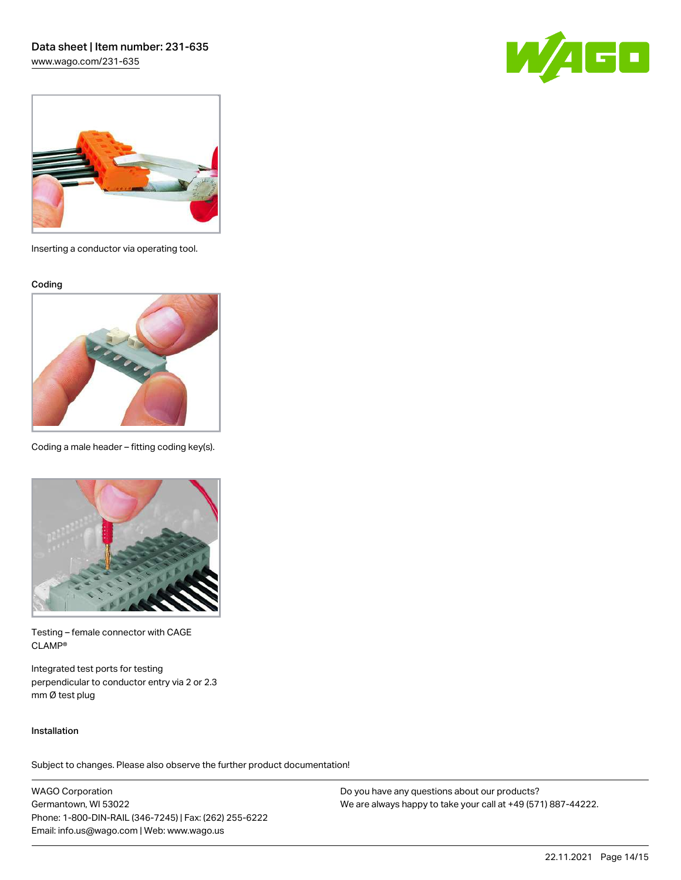[www.wago.com/231-635](http://www.wago.com/231-635)





Inserting a conductor via operating tool.

Coding



Coding a male header – fitting coding key(s).



Testing – female connector with CAGE CLAMP®

Integrated test ports for testing perpendicular to conductor entry via 2 or 2.3 mm Ø test plug

### Installation

Subject to changes. Please also observe the further product documentation!

WAGO Corporation Germantown, WI 53022 Phone: 1-800-DIN-RAIL (346-7245) | Fax: (262) 255-6222 Email: info.us@wago.com | Web: www.wago.us